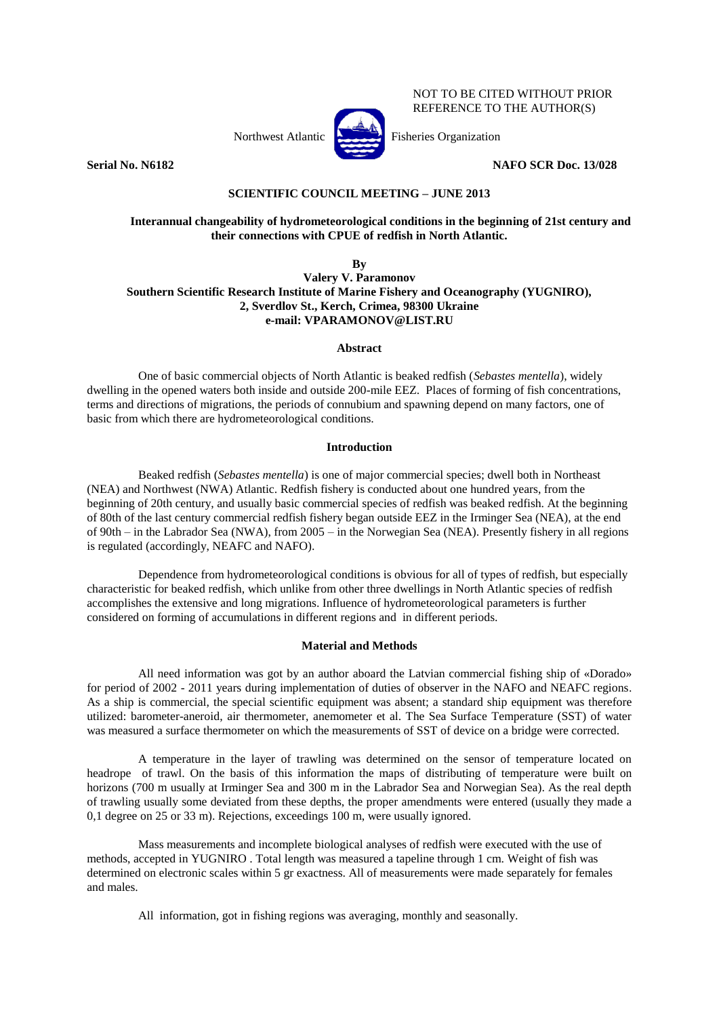Northwest Atlantic Fisheries Organization

NOT TO BE CITED WITHOUT PRIOR REFERENCE TO THE AUTHOR(S)

**Serial No. N6182 NAFO SCR Doc. 13/028** 

# **SCIENTIFIC COUNCIL MEETING – JUNE 2013**

# **Interannual changeability of hydrometeorological conditions in the beginning of 21st century and their connections with CPUE of redfish in North Atlantic.**

**By**

# **Valery V. Paramonov Southern Scientific Research Institute of Marine Fishery and Oceanography (YUGNIRO), 2, Sverdlov St., Kerch, Crimea, 98300 Ukraine e-mail: VPARAMONOV@LIST.RU**

## **Abstract**

One of basic commercial objects of North Atlantic is beaked redfish (*Sebastes mentella*), widely dwelling in the opened waters both inside and outside 200-mile EEZ. Places of forming of fish concentrations, terms and directions of migrations, the periods of connubium and spawning depend on many factors, one of basic from which there are hydrometeorological conditions.

# **Introduction**

Beaked redfish (*Sebastes mentella*) is one of major commercial species; dwell both in Northeast (NEA) and Northwest (NWA) Atlantic. Redfish fishery is conducted about one hundred years, from the beginning of 20th century, and usually basic commercial species of redfish was beaked redfish. At the beginning of 80th of the last century commercial redfish fishery began outside EEZ in the Irminger Sea (NEA), at the end of 90th – in the Labrador Sea (NWA), from 2005 – in the Norwegian Sea (NEA). Presently fishery in all regions is regulated (accordingly, NEAFC and NAFO).

Dependence from hydrometeorological conditions is obvious for all of types of redfish, but especially characteristic for beaked redfish, which unlike from other three dwellings in North Atlantic species of redfish accomplishes the extensive and long migrations. Influence of hydrometeorological parameters is further considered on forming of accumulations in different regions and in different periods.

# **Material and Methods**

All need information was got by an author aboard the Latvian commercial fishing ship of «Dorado» for period of 2002 - 2011 years during implementation of duties of observer in the NAFO and NEAFC regions. As a ship is commercial, the special scientific equipment was absent; a standard ship equipment was therefore utilized: barometer-aneroid, air thermometer, anemometer et al. The Sea Surface Temperature (SST) of water was measured a surface thermometer on which the measurements of SST of device on a bridge were corrected.

A temperature in the layer of trawling was determined on the sensor of temperature located on headrope of trawl. On the basis of this information the maps of distributing of temperature were built on horizons (700 m usually at Irminger Sea and 300 m in the Labrador Sea and Norwegian Sea). As the real depth of trawling usually some deviated from these depths, the proper amendments were entered (usually they made a 0,1 degree on 25 or 33 m). Rejections, exceedings 100 m, were usually ignored.

Mass measurements and incomplete biological analyses of redfish were executed with the use of methods, accepted in YUGNIRO . Total length was measured a tapeline through 1 cm. Weight of fish was determined on electronic scales within 5 gr exactness. All of measurements were made separately for females and males.

All information, got in fishing regions was averaging, monthly and seasonally.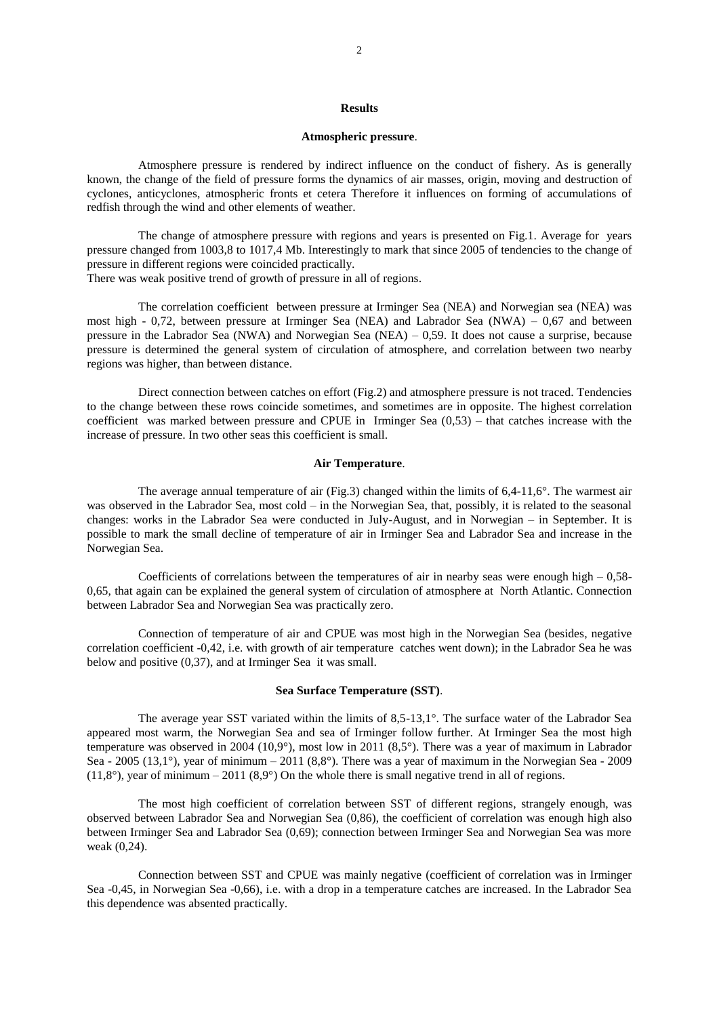#### **Results**

#### **Atmospheric pressure**.

Atmosphere pressure is rendered by indirect influence on the conduct of fishery. As is generally known, the change of the field of pressure forms the dynamics of air masses, origin, moving and destruction of cyclones, anticyclones, atmospheric fronts et cetera Therefore it influences on forming of accumulations of redfish through the wind and other elements of weather.

The change of atmosphere pressure with regions and years is presented on Fig.1. Average for years pressure changed from 1003,8 to 1017,4 Mb. Interestingly to mark that since 2005 of tendencies to the change of pressure in different regions were coincided practically. There was weak positive trend of growth of pressure in all of regions.

The correlation coefficient between pressure at Irminger Sea (NEA) and Norwegian sea (NEA) was most high - 0,72, between pressure at Irminger Sea (NEA) and Labrador Sea (NWA) – 0,67 and between pressure in the Labrador Sea (NWA) and Norwegian Sea (NEA) – 0,59. It does not cause a surprise, because pressure is determined the general system of circulation of atmosphere, and correlation between two nearby regions was higher, than between distance.

Direct connection between catches on effort (Fig.2) and atmosphere pressure is not traced. Tendencies to the change between these rows coincide sometimes, and sometimes are in opposite. The highest correlation coefficient was marked between pressure and CPUE in Irminger Sea (0,53) – that catches increase with the increase of pressure. In two other seas this coefficient is small.

## **Air Temperature**.

The average annual temperature of air (Fig.3) changed within the limits of 6,4-11,6°. The warmest air was observed in the Labrador Sea, most cold – in the Norwegian Sea, that, possibly, it is related to the seasonal changes: works in the Labrador Sea were conducted in July-August, and in Norwegian – in September. It is possible to mark the small decline of temperature of air in Irminger Sea and Labrador Sea and increase in the Norwegian Sea.

Coefficients of correlations between the temperatures of air in nearby seas were enough high  $-0.58$ -0,65, that again can be explained the general system of circulation of atmosphere at North Atlantic. Connection between Labrador Sea and Norwegian Sea was practically zero.

Connection of temperature of air and CPUE was most high in the Norwegian Sea (besides, negative correlation coefficient -0,42, i.e. with growth of air temperature catches went down); in the Labrador Sea he was below and positive (0,37), and at Irminger Sea it was small.

#### **Sea Surface Temperature (SST)**.

The average year SST variated within the limits of 8,5-13,1°. The surface water of the Labrador Sea appeared most warm, the Norwegian Sea and sea of Irminger follow further. At Irminger Sea the most high temperature was observed in 2004 (10,9°), most low in 2011 (8,5°). There was a year of maximum in Labrador Sea - 2005 (13,1°), year of minimum – 2011 (8,8°). There was a year of maximum in the Norwegian Sea - 2009  $(11,8)$ °, year of minimum – 2011  $(8,9)$ ° On the whole there is small negative trend in all of regions.

The most high coefficient of correlation between SST of different regions, strangely enough, was observed between Labrador Sea and Norwegian Sea (0,86), the coefficient of correlation was enough high also between Irminger Sea and Labrador Sea (0,69); connection between Irminger Sea and Norwegian Sea was more weak (0,24).

Connection between SST and CPUE was mainly negative (coefficient of correlation was in Irminger Sea -0,45, in Norwegian Sea -0,66), i.e. with a drop in a temperature catches are increased. In the Labrador Sea this dependence was absented practically.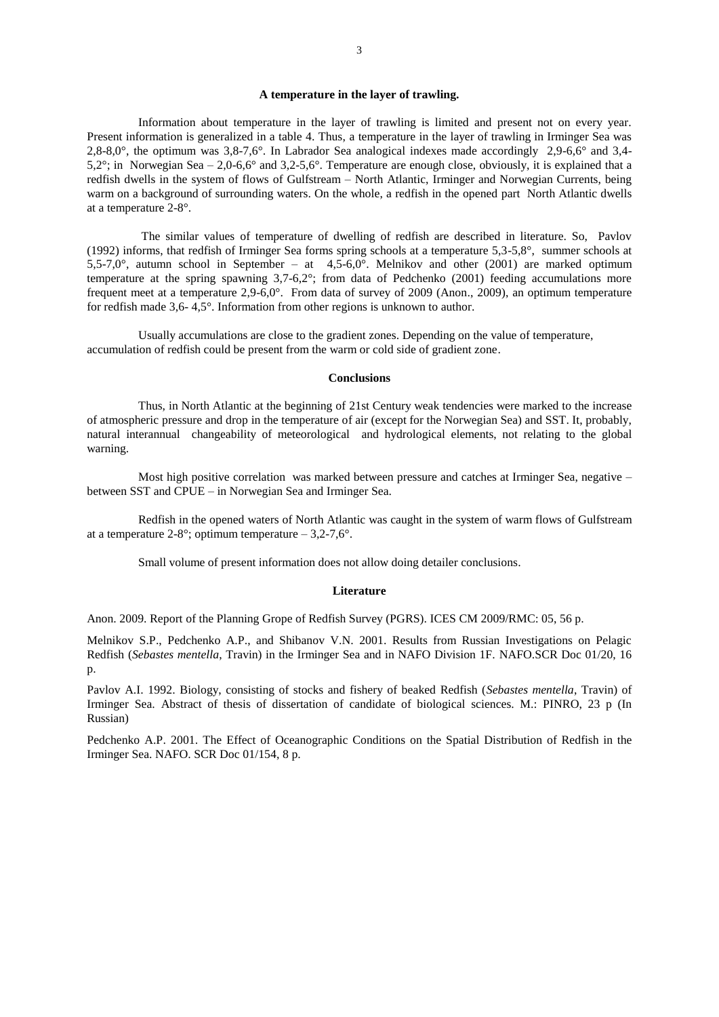### **A temperature in the layer of trawling.**

Information about temperature in the layer of trawling is limited and present not on every year. Present information is generalized in a table 4. Thus, a temperature in the layer of trawling in Irminger Sea was 2,8-8,0°, the optimum was 3,8-7,6°. In Labrador Sea analogical indexes made accordingly 2,9-6,6° and 3,4- 5,2°; in Norwegian Sea – 2,0-6,6° and 3,2-5,6°. Temperature are enough close, obviously, it is explained that a redfish dwells in the system of flows of Gulfstream – North Atlantic, Irminger and Norwegian Currents, being warm on a background of surrounding waters. On the whole, a redfish in the opened part North Atlantic dwells at a temperature 2-8°.

The similar values of temperature of dwelling of redfish are described in literature. So, Pavlov (1992) informs, that redfish of Irminger Sea forms spring schools at a temperature 5,3-5,8°, summer schools at  $5,5-7,0^{\circ}$ , autumn school in September – at  $4,5-6,0^{\circ}$ . Melnikov and other (2001) are marked optimum temperature at the spring spawning 3,7-6,2°; from data of Pedchenko (2001) feeding accumulations more frequent meet at a temperature 2,9-6,0°. From data of survey of 2009 (Anon., 2009), an optimum temperature for redfish made 3,6- 4,5°. Information from other regions is unknown to author.

Usually accumulations are close to the gradient zones. Depending on the value of temperature, accumulation of redfish could be present from the warm or cold side of gradient zone.

## **Conclusions**

Thus, in North Atlantic at the beginning of 21st Century weak tendencies were marked to the increase of atmospheric pressure and drop in the temperature of air (except for the Norwegian Sea) and SST. It, probably, natural interannual changeability of meteorological and hydrological elements, not relating to the global warning.

Most high positive correlation was marked between pressure and catches at Irminger Sea, negative – between SST and CPUE – in Norwegian Sea and Irminger Sea.

Redfish in the opened waters of North Atlantic was caught in the system of warm flows of Gulfstream at a temperature 2-8°; optimum temperature  $-3,2-7,6$ °.

Small volume of present information does not allow doing detailer conclusions.

## **Literature**

Anon. 2009. Report of the Planning Grope of Redfish Survey (PGRS). ICES CM 2009/RMC: 05, 56 p.

Melnikov S.P., Pedchenko A.P., and Shibanov V.N. 2001. Results from Russian Investigations on Pelagic Redfish (*Sebastes mentella*, Travin) in the Irminger Sea and in NAFO Division 1F. NAFO.SCR Doc 01/20, 16 p.

Pavlov A.I. 1992. Biology, consisting of stocks and fishery of beaked Redfish (*Sebastes mentella*, Travin) of Irminger Sea. Abstract of thesis of dissertation of candidate of biological sciences. M.: PINRO, 23 p (In Russian)

Pedchenko A.P. 2001. The Effect of Oceanographic Conditions on the Spatial Distribution of Redfish in the Irminger Sea. NAFO. SCR Doc 01/154, 8 p.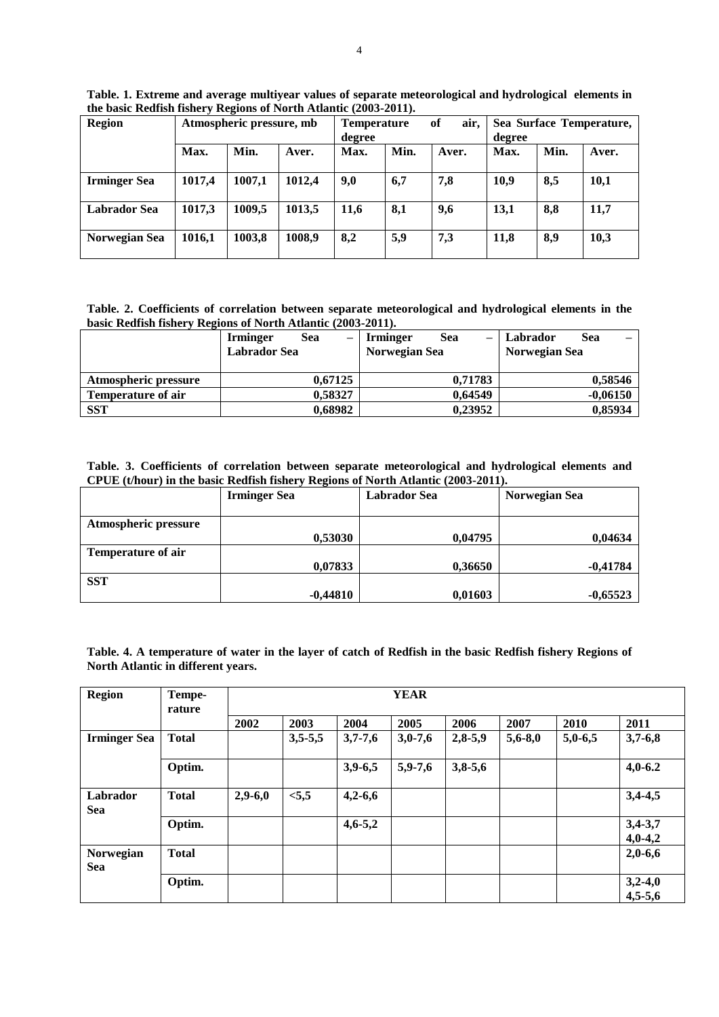| <b>Region</b>       | Atmospheric pressure, mb |        |        | <b>Temperature</b><br>degree |      | of<br>air, | Sea Surface Temperature,<br>degree |      |       |
|---------------------|--------------------------|--------|--------|------------------------------|------|------------|------------------------------------|------|-------|
|                     | Max.                     | Min.   | Aver.  | Max.                         | Min. | Aver.      | Max.                               | Min. | Aver. |
| <b>Irminger Sea</b> | 1017,4                   | 1007,1 | 1012,4 | 9,0                          | 6,7  | 7,8        | 10.9                               | 8,5  | 10,1  |
| <b>Labrador Sea</b> | 1017,3                   | 1009,5 | 1013,5 | 11,6                         | 8,1  | 9,6        | 13,1                               | 8,8  | 11,7  |
| Norwegian Sea       | 1016,1                   | 1003,8 | 1008,9 | 8,2                          | 5,9  | 7,3        | 11,8                               | 8,9  | 10,3  |

**Table. 1. Extreme and average multiyear values of separate meteorological and hydrological elements in the basic Redfish fishery Regions of North Atlantic (2003-2011).**

**Table. 2. Coefficients of correlation between separate meteorological and hydrological elements in the basic Redfish fishery Regions of North Atlantic (2003-2011).**

|                             | Sea<br><b>Irminger</b> | $\overline{\phantom{0}}$ | <b>Irminger</b> | <b>Sea</b><br>$\overline{\phantom{0}}$ | Labrador | Sea        |  |
|-----------------------------|------------------------|--------------------------|-----------------|----------------------------------------|----------|------------|--|
|                             | <b>Labrador Sea</b>    | Norwegian Sea            |                 | Norwegian Sea                          |          |            |  |
|                             |                        |                          |                 |                                        |          |            |  |
| <b>Atmospheric pressure</b> | 0.67125                |                          |                 | 0.71783                                |          | 0,58546    |  |
| <b>Temperature of air</b>   | 0,58327                |                          |                 | 0.64549                                |          | $-0,06150$ |  |
| <b>SST</b>                  | 0,68982                |                          |                 | 0,23952                                |          | 0,85934    |  |

**Table. 3. Coefficients of correlation between separate meteorological and hydrological elements and CPUE (t/hour) in the basic Redfish fishery Regions of North Atlantic (2003-2011).**

|                           | <b>Irminger Sea</b> | Labrador Sea | Norwegian Sea |
|---------------------------|---------------------|--------------|---------------|
|                           |                     |              |               |
| Atmospheric pressure      |                     |              |               |
|                           | 0,53030             | 0,04795      | 0,04634       |
| <b>Temperature of air</b> |                     |              |               |
|                           | 0,07833             | 0,36650      | $-0,41784$    |
| <b>SST</b>                |                     |              |               |
|                           | $-0,44810$          | 0,01603      | $-0,65523$    |

**Table. 4. A temperature of water in the layer of catch of Redfish in the basic Redfish fishery Regions of North Atlantic in different years.**

| <b>Region</b>           | Tempe-<br>rature | <b>YEAR</b> |           |             |           |           |             |           |                        |  |
|-------------------------|------------------|-------------|-----------|-------------|-----------|-----------|-------------|-----------|------------------------|--|
|                         |                  | 2002        | 2003      | 2004        | 2005      | 2006      | 2007        | 2010      | 2011                   |  |
| <b>Irminger Sea</b>     | <b>Total</b>     |             | $3,5-5,5$ | $3,7-7,6$   | $3,0-7,6$ | $2,8-5,9$ | $5,6 - 8,0$ | $5,0-6,5$ | $3,7-6,8$              |  |
|                         | Optim.           |             |           | $3,9-6,5$   | $5,9-7,6$ | $3,8-5,6$ |             |           | $4,0-6.2$              |  |
| Labrador<br><b>Sea</b>  | <b>Total</b>     | $2,9-6,0$   | < 5, 5    | $4,2-6,6$   |           |           |             |           | $3,4-4,5$              |  |
|                         | Optim.           |             |           | $4,6 - 5,2$ |           |           |             |           | $3,4-3,7$<br>$4,0-4,2$ |  |
| Norwegian<br><b>Sea</b> | <b>Total</b>     |             |           |             |           |           |             |           | $2,0-6,6$              |  |
|                         | Optim.           |             |           |             |           |           |             |           | $3,2-4,0$<br>$4,5-5,6$ |  |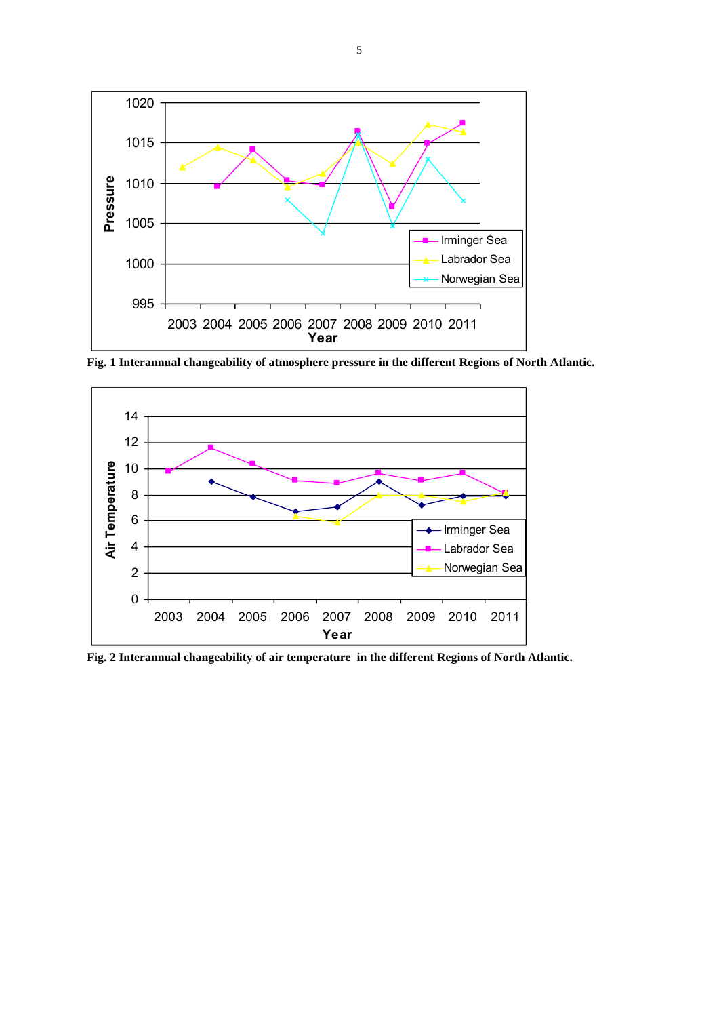

**Fig. 1 Interannual changeability of atmosphere pressure in the different Regions of North Atlantic.**



**Fig. 2 Interannual changeability of air temperature in the different Regions of North Atlantic.**